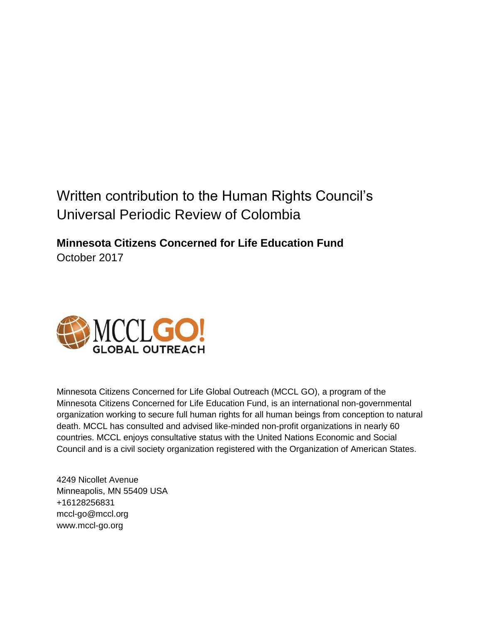## Written contribution to the Human Rights Council's Universal Periodic Review of Colombia

**Minnesota Citizens Concerned for Life Education Fund** October 2017



Minnesota Citizens Concerned for Life Global Outreach (MCCL GO), a program of the Minnesota Citizens Concerned for Life Education Fund, is an international non-governmental organization working to secure full human rights for all human beings from conception to natural death. MCCL has consulted and advised like-minded non-profit organizations in nearly 60 countries. MCCL enjoys consultative status with the United Nations Economic and Social Council and is a civil society organization registered with the Organization of American States.

4249 Nicollet Avenue Minneapolis, MN 55409 USA +16128256831 mccl-go@mccl.org www.mccl-go.org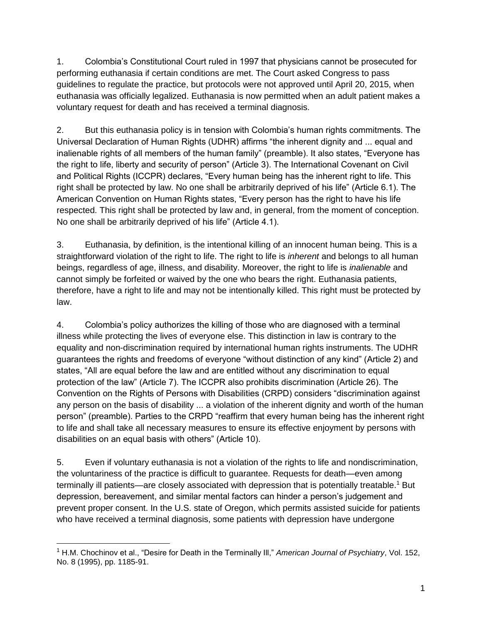1. Colombia's Constitutional Court ruled in 1997 that physicians cannot be prosecuted for performing euthanasia if certain conditions are met. The Court asked Congress to pass guidelines to regulate the practice, but protocols were not approved until April 20, 2015, when euthanasia was officially legalized. Euthanasia is now permitted when an adult patient makes a voluntary request for death and has received a terminal diagnosis.

2. But this euthanasia policy is in tension with Colombia's human rights commitments. The Universal Declaration of Human Rights (UDHR) affirms "the inherent dignity and ... equal and inalienable rights of all members of the human family" (preamble). It also states, "Everyone has the right to life, liberty and security of person" (Article 3). The International Covenant on Civil and Political Rights (ICCPR) declares, "Every human being has the inherent right to life. This right shall be protected by law. No one shall be arbitrarily deprived of his life" (Article 6.1). The American Convention on Human Rights states, "Every person has the right to have his life respected. This right shall be protected by law and, in general, from the moment of conception. No one shall be arbitrarily deprived of his life" (Article 4.1).

3. Euthanasia, by definition, is the intentional killing of an innocent human being. This is a straightforward violation of the right to life. The right to life is *inherent* and belongs to all human beings, regardless of age, illness, and disability. Moreover, the right to life is *inalienable* and cannot simply be forfeited or waived by the one who bears the right. Euthanasia patients, therefore, have a right to life and may not be intentionally killed. This right must be protected by law.

4. Colombia's policy authorizes the killing of those who are diagnosed with a terminal illness while protecting the lives of everyone else. This distinction in law is contrary to the equality and non-discrimination required by international human rights instruments. The UDHR guarantees the rights and freedoms of everyone "without distinction of any kind" (Article 2) and states, "All are equal before the law and are entitled without any discrimination to equal protection of the law" (Article 7). The ICCPR also prohibits discrimination (Article 26). The Convention on the Rights of Persons with Disabilities (CRPD) considers "discrimination against any person on the basis of disability ... a violation of the inherent dignity and worth of the human person" (preamble). Parties to the CRPD "reaffirm that every human being has the inherent right to life and shall take all necessary measures to ensure its effective enjoyment by persons with disabilities on an equal basis with others" (Article 10).

5. Even if voluntary euthanasia is not a violation of the rights to life and nondiscrimination, the voluntariness of the practice is difficult to guarantee. Requests for death—even among terminally ill patients—are closely associated with depression that is potentially treatable.<sup>1</sup> But depression, bereavement, and similar mental factors can hinder a person's judgement and prevent proper consent. In the U.S. state of Oregon, which permits assisted suicide for patients who have received a terminal diagnosis, some patients with depression have undergone

<sup>1</sup> H.M. Chochinov et al., "Desire for Death in the Terminally Ill," *American Journal of Psychiatry*, Vol. 152, No. 8 (1995), pp. 1185-91.